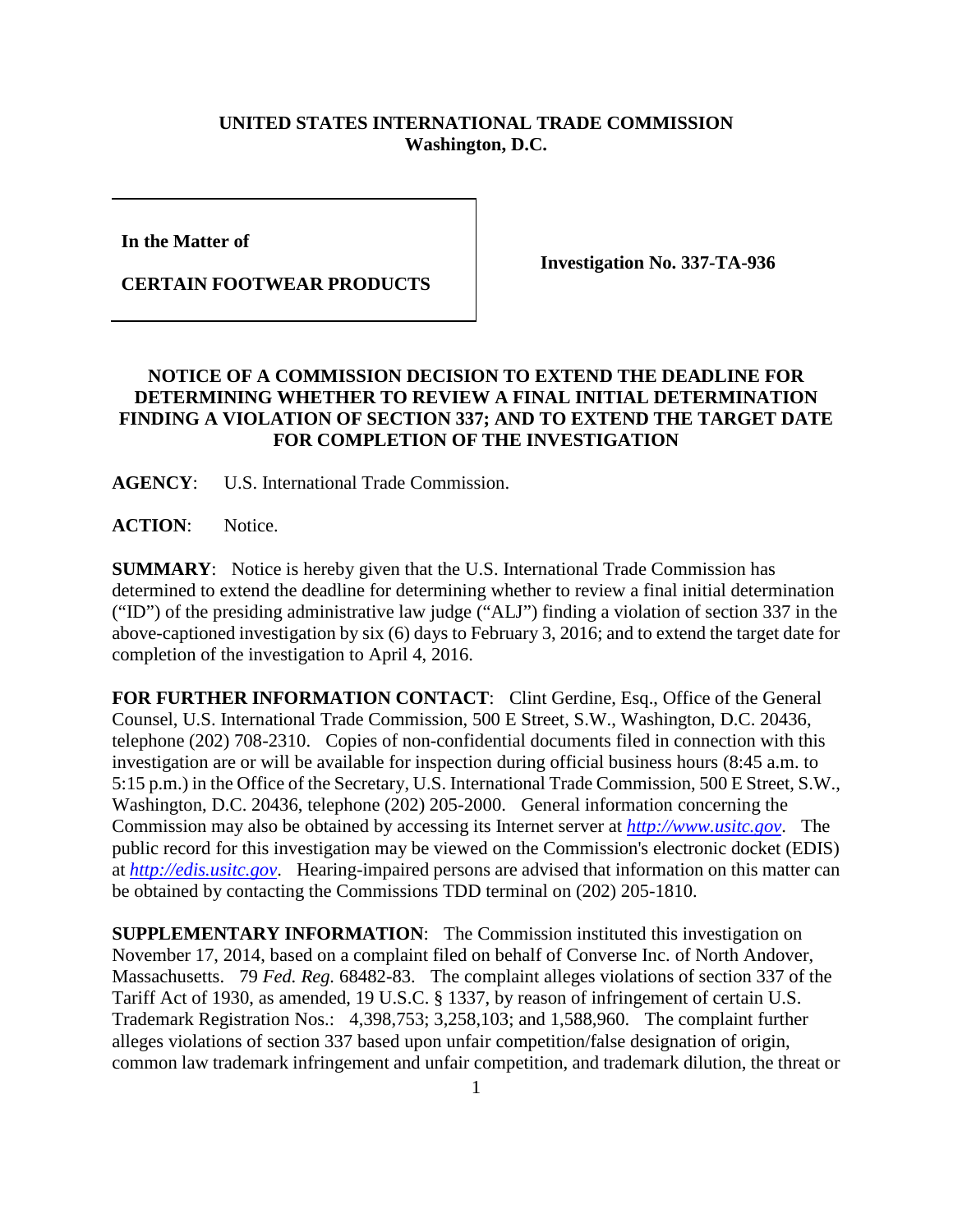## **UNITED STATES INTERNATIONAL TRADE COMMISSION Washington, D.C.**

**In the Matter of** 

**CERTAIN FOOTWEAR PRODUCTS**

**Investigation No. 337-TA-936**

## **NOTICE OF A COMMISSION DECISION TO EXTEND THE DEADLINE FOR DETERMINING WHETHER TO REVIEW A FINAL INITIAL DETERMINATION FINDING A VIOLATION OF SECTION 337; AND TO EXTEND THE TARGET DATE FOR COMPLETION OF THE INVESTIGATION**

**AGENCY**: U.S. International Trade Commission.

**ACTION**: Notice.

**SUMMARY**: Notice is hereby given that the U.S. International Trade Commission has determined to extend the deadline for determining whether to review a final initial determination ("ID") of the presiding administrative law judge ("ALJ") finding a violation of section 337 in the above-captioned investigation by six (6) days to February 3, 2016; and to extend the target date for completion of the investigation to April 4, 2016.

FOR FURTHER INFORMATION CONTACT: Clint Gerdine, Esq., Office of the General Counsel, U.S. International Trade Commission, 500 E Street, S.W., Washington, D.C. 20436, telephone (202) 708-2310. Copies of non-confidential documents filed in connection with this investigation are or will be available for inspection during official business hours (8:45 a.m. to 5:15 p.m.) in the Office of the Secretary, U.S. International Trade Commission, 500 E Street, S.W., Washington, D.C. 20436, telephone (202) 205-2000. General information concerning the Commission may also be obtained by accessing its Internet server at *[http://www.usitc.gov](http://www.usitc.gov/)*. The public record for this investigation may be viewed on the Commission's electronic docket (EDIS) at *[http://edis.usitc.gov](http://edis.usitc.gov/)*. Hearing-impaired persons are advised that information on this matter can be obtained by contacting the Commissions TDD terminal on (202) 205-1810.

**SUPPLEMENTARY INFORMATION**: The Commission instituted this investigation on November 17, 2014, based on a complaint filed on behalf of Converse Inc. of North Andover, Massachusetts. 79 *Fed. Reg.* 68482-83. The complaint alleges violations of section 337 of the Tariff Act of 1930, as amended, 19 U.S.C. § 1337, by reason of infringement of certain U.S. Trademark Registration Nos.: 4,398,753; 3,258,103; and 1,588,960. The complaint further alleges violations of section 337 based upon unfair competition/false designation of origin, common law trademark infringement and unfair competition, and trademark dilution, the threat or